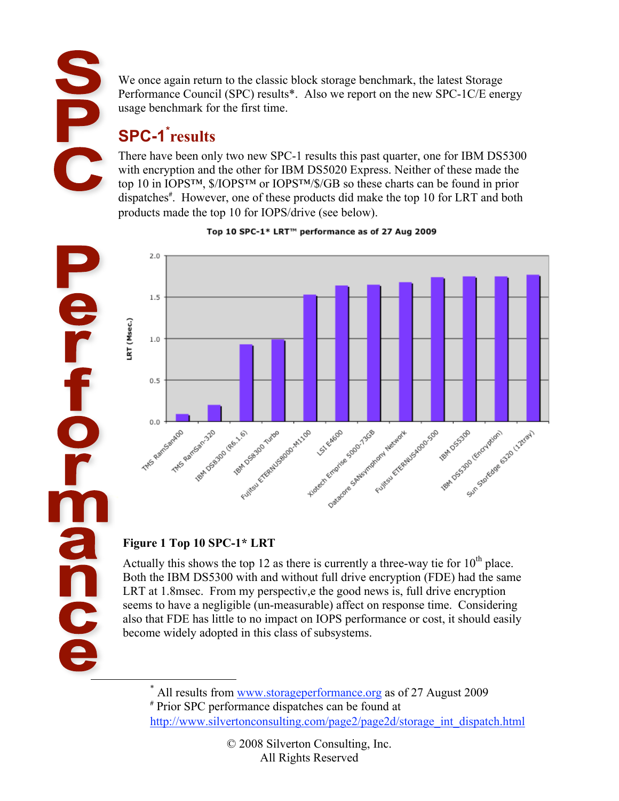Fe

**dinc** 

We once again return to the classic block storage benchmark, the latest Storage Performance Council (SPC) results\*. Also we report on the new SPC-1C/E energy usage benchmark for the first time.

# **SPC-1\* results**

There have been only two new SPC-1 results this past quarter, one for IBM DS5300 with encryption and the other for IBM DS5020 Express. Neither of these made the top 10 in IOPS™, \$/IOPS™ or IOPS™/\$/GB so these charts can be found in prior dispatches<sup>#</sup>. However, one of these products did make the top 10 for LRT and both products made the top 10 for IOPS/drive (see below).



#### Top 10 SPC-1\* LRT™ performance as of 27 Aug 2009

### **Figure 1 Top 10 SPC-1\* LRT**

Actually this shows the top 12 as there is currently a three-way tie for  $10^{th}$  place. Both the IBM DS5300 with and without full drive encryption (FDE) had the same LRT at 1.8msec. From my perspectiv,e the good news is, full drive encryption seems to have a negligible (un-measurable) affect on response time. Considering also that FDE has little to no impact on IOPS performance or cost, it should easily become widely adopted in this class of subsystems.

 <sup>\*</sup> \* All results from www.storageperformance.org as of 27 August 2009 # Prior SPC performance dispatches can be found at

http://www.silvertonconsulting.com/page2/page2d/storage\_int\_dispatch.html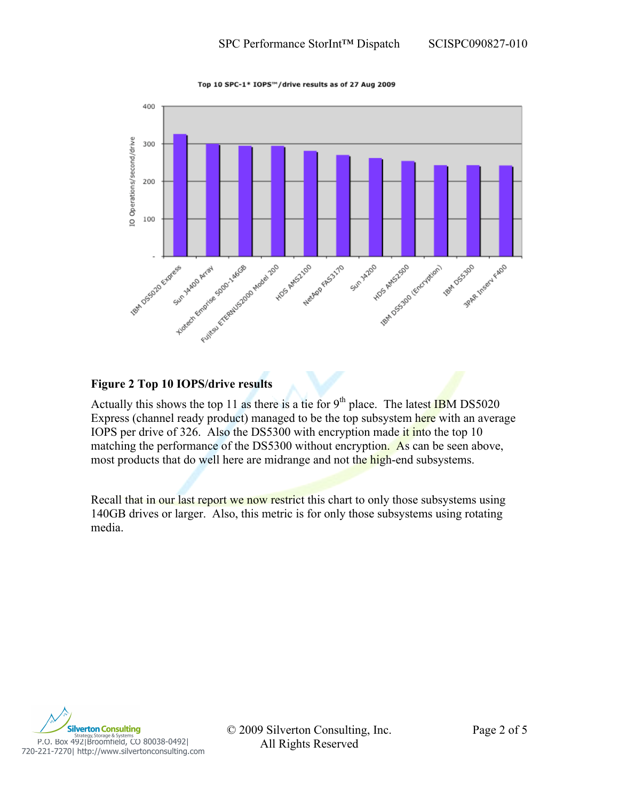Top 10 SPC-1\* IOPS™/drive results as of 27 Aug 2009



#### **Figure 2 Top 10 IOPS/drive results**

Actually this shows the top 11 as there is a tie for  $9<sup>th</sup>$  place. The latest IBM DS5020 Express (channel ready product) managed to be the top subsystem here with an average IOPS per drive of 326. Also the DS5300 with encryption made it into the top 10 matching the performance of the DS5300 without encryption. As can be seen above, most products that do well here are midrange and not the high-end subsystems.

Recall that in our last report we now restrict this chart to only those subsystems using 140GB drives or larger. Also, this metric is for only those subsystems using rotating media.



P.O. Box 492|Broomfield, CO 80038-0492|<br>P.O. Box 492|Broomfield, CO 80038-0492|<br>T20-221-7270| http://www.silvertonconsulting.com

© 2009 Silverton Consulting, Inc. Page 2 of 5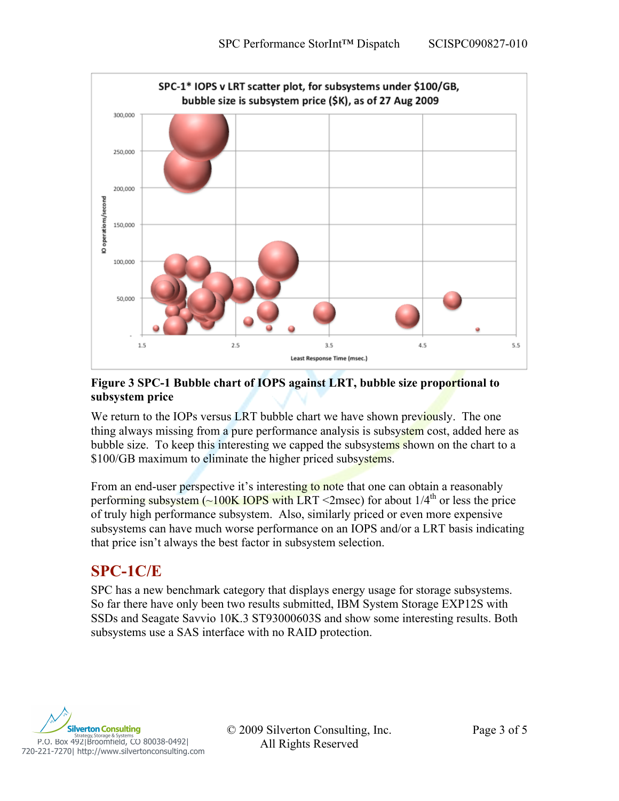

#### **Figure 3 SPC-1 Bubble chart of IOPS against LRT, bubble size proportional to subsystem price**

We return to the IOPs versus LRT bubble chart we have shown previously. The one thing always missing from a pure performance analysis is subsystem cost, added here as bubble size. To keep this interesting we capped the subsystems shown on the chart to a \$100/GB maximum to eliminate the higher priced subsystems.

From an end-user perspective it's interesting to note that one can obtain a reasonably performing subsystem  $\left(\sim\right]$  100K IOPS with LRT <2msec) for about 1/4<sup>th</sup> or less the price of truly high performance subsystem. Also, similarly priced or even more expensive subsystems can have much worse performance on an IOPS and/or a LRT basis indicating that price isn't always the best factor in subsystem selection.

### **SPC-1C/E**

SPC has a new benchmark category that displays energy usage for storage subsystems. So far there have only been two results submitted, IBM System Storage EXP12S with SSDs and Seagate Savvio 10K.3 ST93000603S and show some interesting results. Both subsystems use a SAS interface with no RAID protection.



© 2009 Silverton Consulting, Inc. Page 3 of 5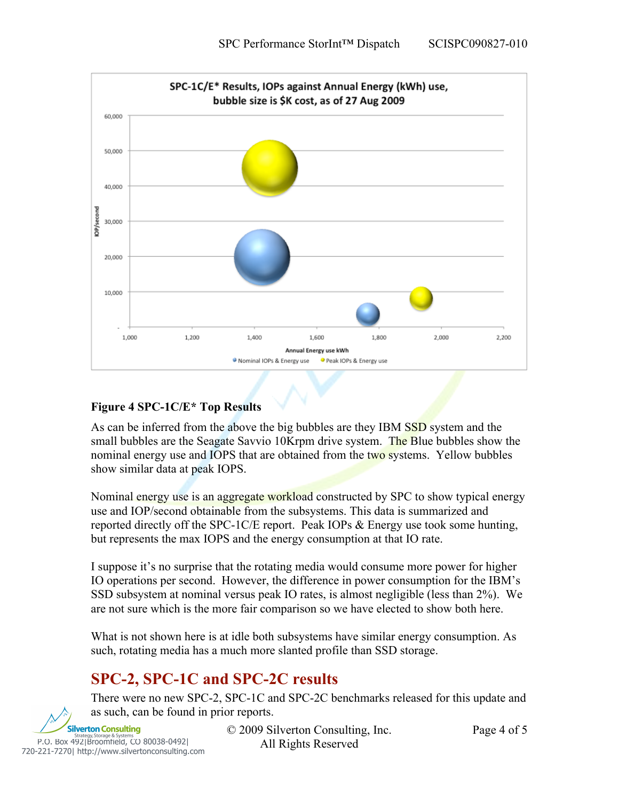

#### **Figure 4 SPC-1C/E\* Top Results**

As can be inferred from the above the big bubbles are they IBM SSD system and the small bubbles are the Seagate Savvio 10Krpm drive system. The Blue bubbles show the nominal energy use and IOPS that are obtained from the two systems. Yellow bubbles show similar data at peak IOPS.

Nominal energy use is an aggregate workload constructed by SPC to show typical energy use and IOP/second obtainable from the subsystems. This data is summarized and reported directly off the SPC-1C/E report. Peak IOPs & Energy use took some hunting, but represents the max IOPS and the energy consumption at that IO rate.

I suppose it's no surprise that the rotating media would consume more power for higher IO operations per second. However, the difference in power consumption for the IBM's SSD subsystem at nominal versus peak IO rates, is almost negligible (less than 2%). We are not sure which is the more fair comparison so we have elected to show both here.

What is not shown here is at idle both subsystems have similar energy consumption. As such, rotating media has a much more slanted profile than SSD storage.

### **SPC-2, SPC-1C and SPC-2C results**

There were no new SPC-2, SPC-1C and SPC-2C benchmarks released for this update and as such, can be found in prior reports.



© 2009 Silverton Consulting, Inc. Page 4 of 5